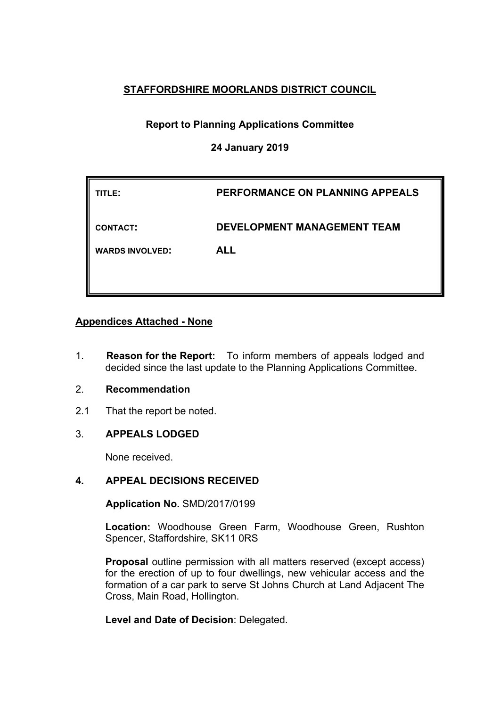## **STAFFORDSHIRE MOORLANDS DISTRICT COUNCIL**

# **Report to Planning Applications Committee**

### **24 January 2019**

| TITLE:                 | PERFORMANCE ON PLANNING APPEALS    |
|------------------------|------------------------------------|
| <b>CONTACT:</b>        | <b>DEVELOPMENT MANAGEMENT TEAM</b> |
| <b>WARDS INVOLVED:</b> | <b>ALL</b>                         |
|                        |                                    |

### **Appendices Attached - None**

1. **Reason for the Report:** To inform members of appeals lodged and decided since the last update to the Planning Applications Committee.

### 2. **Recommendation**

2.1 That the report be noted.

## 3. **APPEALS LODGED**

None received.

## **4. APPEAL DECISIONS RECEIVED**

**Application No.** SMD/2017/0199

**Location:** Woodhouse Green Farm, Woodhouse Green, Rushton Spencer, Staffordshire, SK11 0RS

**Proposal** outline permission with all matters reserved (except access) for the erection of up to four dwellings, new vehicular access and the formation of a car park to serve St Johns Church at Land Adjacent The Cross, Main Road, Hollington.

**Level and Date of Decision**: Delegated.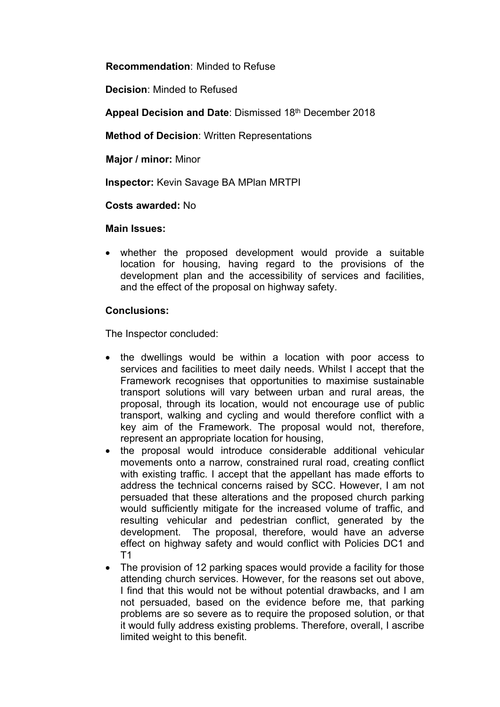**Recommendation**: Minded to Refuse

**Decision**: Minded to Refused

**Appeal Decision and Date**: Dismissed 18th December 2018

**Method of Decision**: Written Representations

**Major / minor:** Minor

**Inspector:** Kevin Savage BA MPlan MRTPI

**Costs awarded:** No

### **Main Issues:**

 whether the proposed development would provide a suitable location for housing, having regard to the provisions of the development plan and the accessibility of services and facilities, and the effect of the proposal on highway safety.

## **Conclusions:**

The Inspector concluded:

- the dwellings would be within a location with poor access to services and facilities to meet daily needs. Whilst I accept that the Framework recognises that opportunities to maximise sustainable transport solutions will vary between urban and rural areas, the proposal, through its location, would not encourage use of public transport, walking and cycling and would therefore conflict with a key aim of the Framework. The proposal would not, therefore, represent an appropriate location for housing,
- the proposal would introduce considerable additional vehicular movements onto a narrow, constrained rural road, creating conflict with existing traffic. I accept that the appellant has made efforts to address the technical concerns raised by SCC. However, I am not persuaded that these alterations and the proposed church parking would sufficiently mitigate for the increased volume of traffic, and resulting vehicular and pedestrian conflict, generated by the development. The proposal, therefore, would have an adverse effect on highway safety and would conflict with Policies DC1 and T1
- The provision of 12 parking spaces would provide a facility for those attending church services. However, for the reasons set out above, I find that this would not be without potential drawbacks, and I am not persuaded, based on the evidence before me, that parking problems are so severe as to require the proposed solution, or that it would fully address existing problems. Therefore, overall, I ascribe limited weight to this benefit.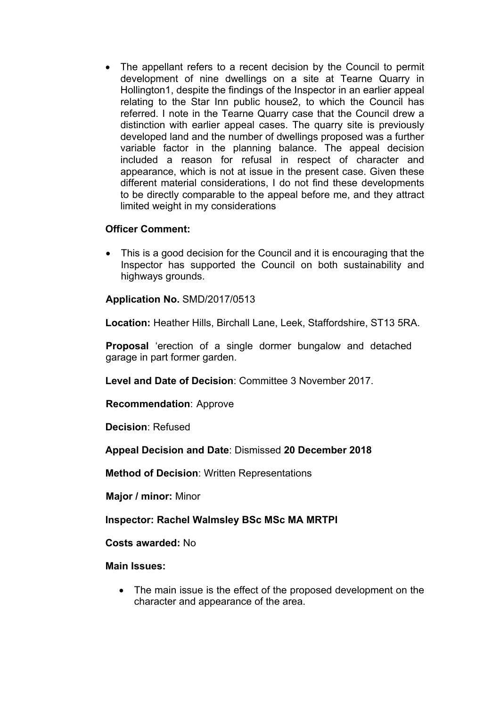The appellant refers to a recent decision by the Council to permit development of nine dwellings on a site at Tearne Quarry in Hollington1, despite the findings of the Inspector in an earlier appeal relating to the Star Inn public house2, to which the Council has referred. I note in the Tearne Quarry case that the Council drew a distinction with earlier appeal cases. The quarry site is previously developed land and the number of dwellings proposed was a further variable factor in the planning balance. The appeal decision included a reason for refusal in respect of character and appearance, which is not at issue in the present case. Given these different material considerations, I do not find these developments to be directly comparable to the appeal before me, and they attract limited weight in my considerations

### **Officer Comment:**

 This is a good decision for the Council and it is encouraging that the Inspector has supported the Council on both sustainability and highways grounds.

**Application No.** SMD/2017/0513

**Location:** Heather Hills, Birchall Lane, Leek, Staffordshire, ST13 5RA.

**Proposal** 'erection of a single dormer bungalow and detached garage in part former garden.

**Level and Date of Decision**: Committee 3 November 2017.

**Recommendation**: Approve

**Decision**: Refused

**Appeal Decision and Date**: Dismissed **20 December 2018**

**Method of Decision**: Written Representations

**Major / minor:** Minor

**Inspector: Rachel Walmsley BSc MSc MA MRTPI**

**Costs awarded:** No

**Main Issues:** 

• The main issue is the effect of the proposed development on the character and appearance of the area.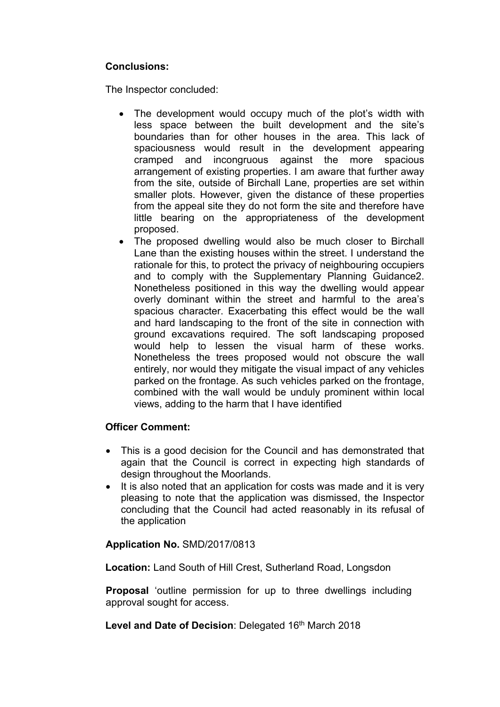## **Conclusions:**

The Inspector concluded:

- The development would occupy much of the plot's width with less space between the built development and the site's boundaries than for other houses in the area. This lack of spaciousness would result in the development appearing cramped and incongruous against the more spacious arrangement of existing properties. I am aware that further away from the site, outside of Birchall Lane, properties are set within smaller plots. However, given the distance of these properties from the appeal site they do not form the site and therefore have little bearing on the appropriateness of the development proposed.
- The proposed dwelling would also be much closer to Birchall Lane than the existing houses within the street. I understand the rationale for this, to protect the privacy of neighbouring occupiers and to comply with the Supplementary Planning Guidance2. Nonetheless positioned in this way the dwelling would appear overly dominant within the street and harmful to the area's spacious character. Exacerbating this effect would be the wall and hard landscaping to the front of the site in connection with ground excavations required. The soft landscaping proposed would help to lessen the visual harm of these works. Nonetheless the trees proposed would not obscure the wall entirely, nor would they mitigate the visual impact of any vehicles parked on the frontage. As such vehicles parked on the frontage, combined with the wall would be unduly prominent within local views, adding to the harm that I have identified

### **Officer Comment:**

- This is a good decision for the Council and has demonstrated that again that the Council is correct in expecting high standards of design throughout the Moorlands.
- It is also noted that an application for costs was made and it is very pleasing to note that the application was dismissed, the Inspector concluding that the Council had acted reasonably in its refusal of the application

## **Application No.** SMD/2017/0813

**Location:** Land South of Hill Crest, Sutherland Road, Longsdon

**Proposal** 'outline permission for up to three dwellings including approval sought for access.

Level and Date of Decision: Delegated 16<sup>th</sup> March 2018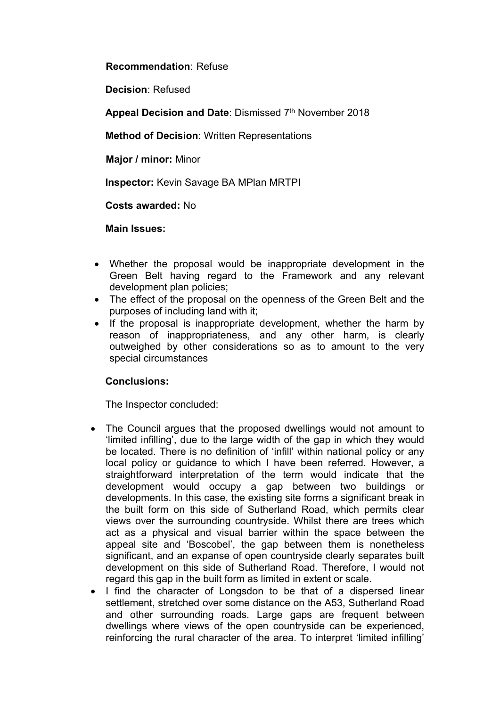### **Recommendation**: Refuse

**Decision**: Refused

**Appeal Decision and Date**: Dismissed 7 th November 2018

**Method of Decision**: Written Representations

**Major / minor:** Minor

**Inspector:** Kevin Savage BA MPlan MRTPI

**Costs awarded:** No

**Main Issues:** 

- Whether the proposal would be inappropriate development in the Green Belt having regard to the Framework and any relevant development plan policies;
- The effect of the proposal on the openness of the Green Belt and the purposes of including land with it;
- If the proposal is inappropriate development, whether the harm by reason of inappropriateness, and any other harm, is clearly outweighed by other considerations so as to amount to the very special circumstances

## **Conclusions:**

The Inspector concluded:

- The Council argues that the proposed dwellings would not amount to 'limited infilling', due to the large width of the gap in which they would be located. There is no definition of 'infill' within national policy or any local policy or guidance to which I have been referred. However, a straightforward interpretation of the term would indicate that the development would occupy a gap between two buildings or developments. In this case, the existing site forms a significant break in the built form on this side of Sutherland Road, which permits clear views over the surrounding countryside. Whilst there are trees which act as a physical and visual barrier within the space between the appeal site and 'Boscobel', the gap between them is nonetheless significant, and an expanse of open countryside clearly separates built development on this side of Sutherland Road. Therefore, I would not regard this gap in the built form as limited in extent or scale.
- I find the character of Longsdon to be that of a dispersed linear settlement, stretched over some distance on the A53, Sutherland Road and other surrounding roads. Large gaps are frequent between dwellings where views of the open countryside can be experienced, reinforcing the rural character of the area. To interpret 'limited infilling'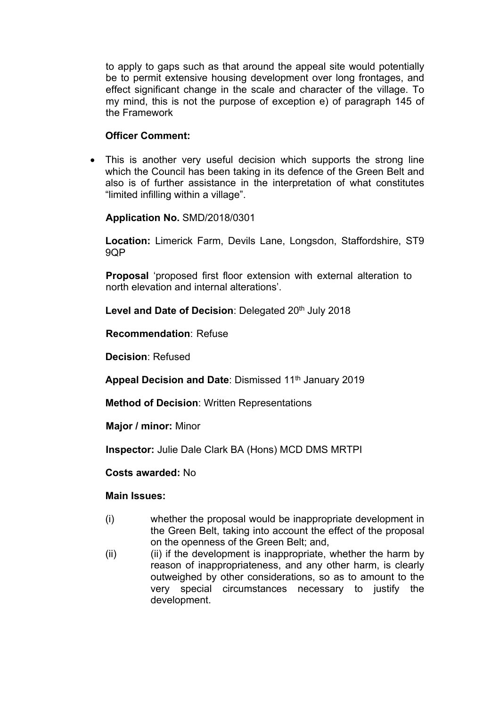to apply to gaps such as that around the appeal site would potentially be to permit extensive housing development over long frontages, and effect significant change in the scale and character of the village. To my mind, this is not the purpose of exception e) of paragraph 145 of the Framework

### **Officer Comment:**

 This is another very useful decision which supports the strong line which the Council has been taking in its defence of the Green Belt and also is of further assistance in the interpretation of what constitutes "limited infilling within a village".

### **Application No.** SMD/2018/0301

**Location:** Limerick Farm, Devils Lane, Longsdon, Staffordshire, ST9 9QP

**Proposal** 'proposed first floor extension with external alteration to north elevation and internal alterations'.

**Level and Date of Decision**: Delegated 20th July 2018

**Recommendation**: Refuse

**Decision**: Refused

**Appeal Decision and Date**: Dismissed 11th January 2019

**Method of Decision**: Written Representations

**Major / minor:** Minor

**Inspector:** Julie Dale Clark BA (Hons) MCD DMS MRTPI

**Costs awarded:** No

### **Main Issues:**

- (i) whether the proposal would be inappropriate development in the Green Belt, taking into account the effect of the proposal on the openness of the Green Belt; and,
- (ii) (ii) if the development is inappropriate, whether the harm by reason of inappropriateness, and any other harm, is clearly outweighed by other considerations, so as to amount to the very special circumstances necessary to justify the development.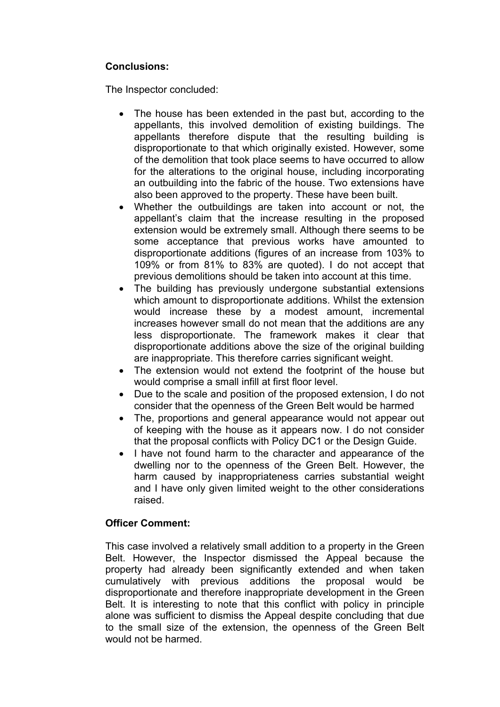# **Conclusions:**

The Inspector concluded:

- The house has been extended in the past but, according to the appellants, this involved demolition of existing buildings. The appellants therefore dispute that the resulting building is disproportionate to that which originally existed. However, some of the demolition that took place seems to have occurred to allow for the alterations to the original house, including incorporating an outbuilding into the fabric of the house. Two extensions have also been approved to the property. These have been built.
- Whether the outbuildings are taken into account or not, the appellant's claim that the increase resulting in the proposed extension would be extremely small. Although there seems to be some acceptance that previous works have amounted to disproportionate additions (figures of an increase from 103% to 109% or from 81% to 83% are quoted). I do not accept that previous demolitions should be taken into account at this time.
- The building has previously undergone substantial extensions which amount to disproportionate additions. Whilst the extension would increase these by a modest amount, incremental increases however small do not mean that the additions are any less disproportionate. The framework makes it clear that disproportionate additions above the size of the original building are inappropriate. This therefore carries significant weight.
- The extension would not extend the footprint of the house but would comprise a small infill at first floor level.
- Due to the scale and position of the proposed extension, I do not consider that the openness of the Green Belt would be harmed
- The, proportions and general appearance would not appear out of keeping with the house as it appears now. I do not consider that the proposal conflicts with Policy DC1 or the Design Guide.
- I have not found harm to the character and appearance of the dwelling nor to the openness of the Green Belt. However, the harm caused by inappropriateness carries substantial weight and I have only given limited weight to the other considerations raised.

## **Officer Comment:**

This case involved a relatively small addition to a property in the Green Belt. However, the Inspector dismissed the Appeal because the property had already been significantly extended and when taken cumulatively with previous additions the proposal would be disproportionate and therefore inappropriate development in the Green Belt. It is interesting to note that this conflict with policy in principle alone was sufficient to dismiss the Appeal despite concluding that due to the small size of the extension, the openness of the Green Belt would not be harmed.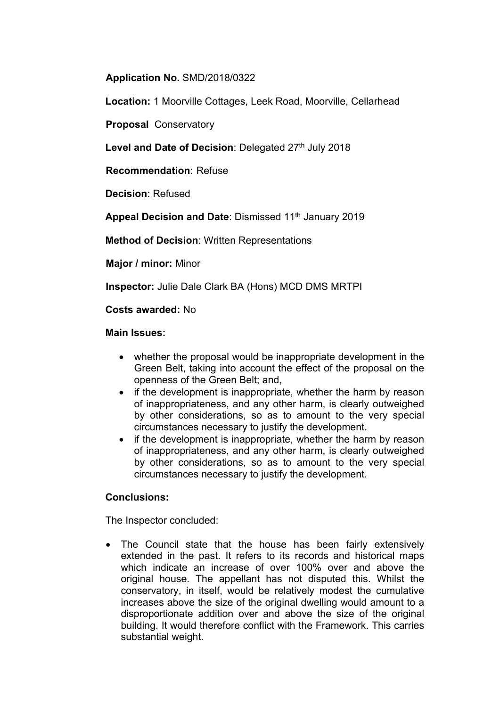### **Application No.** SMD/2018/0322

**Location:** 1 Moorville Cottages, Leek Road, Moorville, Cellarhead

**Proposal** Conservatory

Level and Date of Decision: Delegated 27<sup>th</sup> July 2018

**Recommendation**: Refuse

**Decision**: Refused

**Appeal Decision and Date**: Dismissed 11th January 2019

**Method of Decision**: Written Representations

**Major / minor:** Minor

**Inspector:** Julie Dale Clark BA (Hons) MCD DMS MRTPI

### **Costs awarded:** No

#### **Main Issues:**

- whether the proposal would be inappropriate development in the Green Belt, taking into account the effect of the proposal on the openness of the Green Belt; and,
- if the development is inappropriate, whether the harm by reason of inappropriateness, and any other harm, is clearly outweighed by other considerations, so as to amount to the very special circumstances necessary to justify the development.
- if the development is inappropriate, whether the harm by reason of inappropriateness, and any other harm, is clearly outweighed by other considerations, so as to amount to the very special circumstances necessary to justify the development.

### **Conclusions:**

The Inspector concluded:

 The Council state that the house has been fairly extensively extended in the past. It refers to its records and historical maps which indicate an increase of over 100% over and above the original house. The appellant has not disputed this. Whilst the conservatory, in itself, would be relatively modest the cumulative increases above the size of the original dwelling would amount to a disproportionate addition over and above the size of the original building. It would therefore conflict with the Framework. This carries substantial weight.